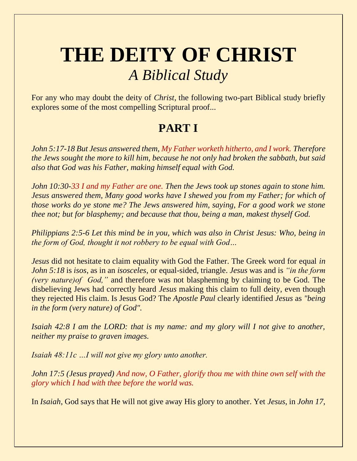## **THE DEITY OF CHRIST**  *A Biblical Study*

For any who may doubt the deity of *Christ*, the following two-part Biblical study briefly explores some of the most compelling Scriptural proof...

## **PART I**

*John 5:17-18 But Jesus answered them, My Father worketh hitherto, and I work. Therefore the Jews sought the more to kill him, because he not only had broken the sabbath, but said also that God was his Father, making himself equal with God.*

*John 10:30-33 I and my Father are one. Then the Jews took up stones again to stone him. Jesus answered them, Many good works have I shewed you from my Father; for which of those works do ye stone me? The Jews answered him, saying, For a good work we stone thee not; but for blasphemy; and because that thou, being a man, makest thyself God.* 

*Philippians 2:5-6 Let this mind be in you, which was also in Christ Jesus: Who, being in the form of God, thought it not robbery to be equal with God…*

*Jesus* did not hesitate to claim equality with God the Father. The Greek word for equal *in John 5:18* is *isos*, as in an *isosceles*, or equal-sided, triangle. *Jesus* was and is *"in the form (very nature)of God,"* and therefore was not blaspheming by claiming to be God. The disbelieving Jews had correctly heard *Jesus* making this claim to full deity, even though they rejected His claim. Is Jesus God? The *Apostle Paul* clearly identified *Jesus* as *"being in the form (very nature) of God".*

*Isaiah 42:8 I am the LORD: that is my name: and my glory will I not give to another, neither my praise to graven images.* 

*Isaiah 48:11c …I will not give my glory unto another.* 

*John 17:5 (Jesus prayed) And now, O Father, glorify thou me with thine own self with the glory which I had with thee before the world was.* 

In *Isaiah*, God says that He will not give away His glory to another. Yet *Jesus*, in *John 17*,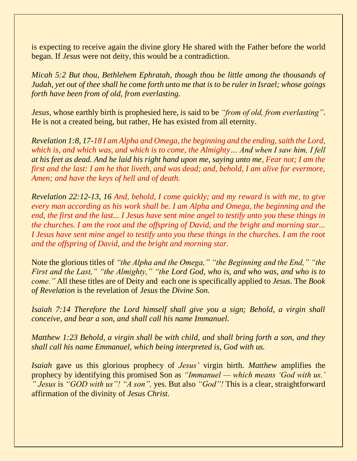is expecting to receive again the divine glory He shared with the Father before the world began. If *Jesus* were not deity, this would be a contradiction.

*Micah 5:2 But thou, Bethlehem Ephratah, though thou be little among the thousands of Judah, yet out of thee shall he come forth unto me that is to be ruler in Israel; whose goings forth have been from of old, from everlasting.*

*Jesus*, whose earthly birth is prophesied here, is said to be *"from of old, from everlasting"*. He is not a created being, but rather, He has existed from all eternity.

*Revelation 1:8, 17-18 I am Alpha and Omega, the beginning and the ending, saith the Lord, which is, and which was, and which is to come, the Almighty… And when I saw him, I fell at his feet as dead. And he laid his right hand upon me, saying unto me, Fear not; I am the first and the last: I am he that liveth, and was dead; and, behold, I am alive for evermore, Amen; and have the keys of hell and of death.*

*Revelation 22:12-13, 16 And, behold, I come quickly; and my reward is with me, to give every man according as his work shall be. I am Alpha and Omega, the beginning and the end, the first and the last... I Jesus have sent mine angel to testify unto you these things in the churches. I am the root and the offspring of David, and the bright and morning star... I Jesus have sent mine angel to testify unto you these things in the churches. I am the root and the offspring of David, and the bright and morning star.* 

Note the glorious titles of *"the Alpha and the Omega," "the Beginning and the End," "the First and the Last," "the Almighty," "the Lord God, who is, and who was, and who is to come."* All these titles are of Deity and each one is specifically applied to *Jesus*. The *Book of Revelation* is the revelation of *Jesus* the *Divine Son.*

*Isaiah 7:14 Therefore the Lord himself shall give you a sign; Behold, a virgin shall conceive, and bear a son, and shall call his name Immanuel.* 

*Matthew 1:23 Behold, a virgin shall be with child, and shall bring forth a son, and they shall call his name Emmanuel, which being interpreted is, God with us.* 

*Isaiah* gave us this glorious prophecy of *Jesus'* virgin birth. *Matthew* amplifies the prophecy by identifying this promised Son as *"Immanuel — which means 'God with us.' " Jesus* is *"GOD with us"! "A son",* yes. But also *"God"!* This is a clear, straightforward affirmation of the divinity of *Jesus Christ.*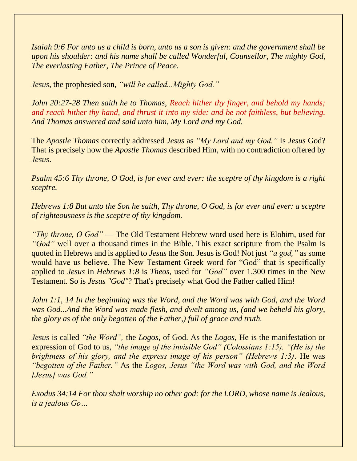*Isaiah 9:6 For unto us a child is born, unto us a son is given: and the government shall be upon his shoulder: and his name shall be called Wonderful, Counsellor, The mighty God, The everlasting Father, The Prince of Peace.* 

*Jesus*, the prophesied son, *"will be called...Mighty God."*

*John 20:27-28 Then saith he to Thomas, Reach hither thy finger, and behold my hands; and reach hither thy hand, and thrust it into my side: and be not faithless, but believing. And Thomas answered and said unto him, My Lord and my God.*

The *Apostle Thomas* correctly addressed *Jesus* as *"My Lord and my God."* Is *Jesus* God? That is precisely how the *Apostle Thomas* described Him, with no contradiction offered by *Jesus*.

*Psalm 45:6 Thy throne, O God, is for ever and ever: the sceptre of thy kingdom is a right sceptre.*

*Hebrews 1:8 But unto the Son he saith, Thy throne, O God, is for ever and ever: a sceptre of righteousness is the sceptre of thy kingdom.* 

*"Thy throne, O God"* — The Old Testament Hebrew word used here is Elohim, used for *"God"* well over a thousand times in the Bible. This exact scripture from the Psalm is quoted in Hebrews and is applied to *Jesus* the Son. Jesus is God! Not just *"a god,"* as some would have us believe. The New Testament Greek word for "God" that is specifically applied to *Jesus* in *Hebrews 1:8* is *Theos*, used for *"God"* over 1,300 times in the New Testament. So is *Jesus "God"*? That's precisely what God the Father called Him!

*John 1:1, 14 In the beginning was the Word, and the Word was with God, and the Word was God...And the Word was made flesh, and dwelt among us, (and we beheld his glory, the glory as of the only begotten of the Father,) full of grace and truth.* 

*Jesus* is called *"the Word",* the *Logos*, of God. As the *Logos*, He is the manifestation or expression of God to us, *"the image of the invisible God" (Colossians 1:15). "(He is) the brightness of his glory, and the express image of his person" (Hebrews 1:3)*. He was *"begotten of the Father."* As the *Logos, Jesus "the Word was with God, and the Word [Jesus] was God."*

*Exodus 34:14 For thou shalt worship no other god: for the LORD, whose name is Jealous, is a jealous Go…*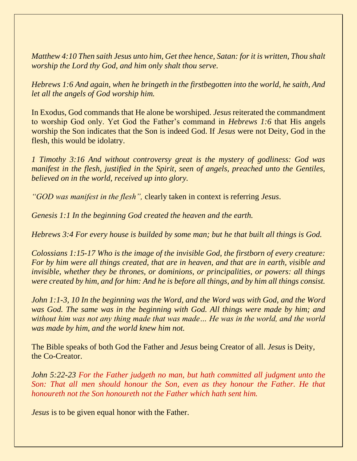*Matthew 4:10 Then saith Jesus unto him, Get thee hence, Satan: for it is written, Thou shalt worship the Lord thy God, and him only shalt thou serve.* 

*Hebrews 1:6 And again, when he bringeth in the firstbegotten into the world, he saith, And let all the angels of God worship him.* 

In Exodus, God commands that He alone be worshiped. *Jesus* reiterated the commandment to worship God only. Yet God the Father's command in *Hebrews 1:6* that His angels worship the Son indicates that the Son is indeed God. If *Jesus* were not Deity, God in the flesh, this would be idolatry.

*1 Timothy 3:16 And without controversy great is the mystery of godliness: God was manifest in the flesh, justified in the Spirit, seen of angels, preached unto the Gentiles, believed on in the world, received up into glory.*

*"GOD was manifest in the flesh",* clearly taken in context is referring *Jesus*.

*Genesis 1:1 In the beginning God created the heaven and the earth.* 

*Hebrews 3:4 For every house is builded by some man; but he that built all things is God.*

*Colossians 1:15-17 Who is the image of the invisible God, the firstborn of every creature: For by him were all things created, that are in heaven, and that are in earth, visible and invisible, whether they be thrones, or dominions, or principalities, or powers: all things were created by him, and for him: And he is before all things, and by him all things consist.* 

*John 1:1-3, 10 In the beginning was the Word, and the Word was with God, and the Word was God. The same was in the beginning with God. All things were made by him; and without him was not any thing made that was made… He was in the world, and the world was made by him, and the world knew him not.* 

The Bible speaks of both God the Father and *Jesus* being Creator of all. *Jesus* is Deity, the Co-Creator.

*John 5:22-23 For the Father judgeth no man, but hath committed all judgment unto the Son: That all men should honour the Son, even as they honour the Father. He that honoureth not the Son honoureth not the Father which hath sent him.* 

*Jesus* is to be given equal honor with the Father.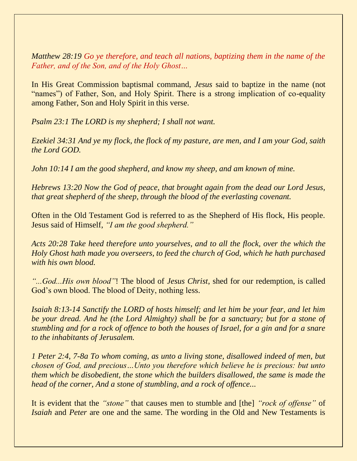*Matthew 28:19 Go ye therefore, and teach all nations, baptizing them in the name of the Father, and of the Son, and of the Holy Ghost…*

In His Great Commission baptismal command, *Jesus* said to baptize in the name (not "names") of Father, Son, and Holy Spirit. There is a strong implication of co-equality among Father, Son and Holy Spirit in this verse.

*Psalm 23:1 The LORD is my shepherd; I shall not want.* 

*Ezekiel 34:31 And ye my flock, the flock of my pasture, are men, and I am your God, saith the Lord GOD.* 

*John 10:14 I am the good shepherd, and know my sheep, and am known of mine.* 

*Hebrews 13:20 Now the God of peace, that brought again from the dead our Lord Jesus, that great shepherd of the sheep, through the blood of the everlasting covenant.*

Often in the Old Testament God is referred to as the Shepherd of His flock, His people. Jesus said of Himself, *"I am the good shepherd."*

*Acts 20:28 Take heed therefore unto yourselves, and to all the flock, over the which the Holy Ghost hath made you overseers, to feed the church of God, which he hath purchased with his own blood.* 

*"...God...His own blood"*! The blood of *Jesus Christ*, shed for our redemption, is called God's own blood. The blood of Deity, nothing less.

*Isaiah 8:13-14 Sanctify the LORD of hosts himself; and let him be your fear, and let him be your dread. And he (the Lord Almighty) shall be for a sanctuary; but for a stone of stumbling and for a rock of offence to both the houses of Israel, for a gin and for a snare to the inhabitants of Jerusalem.* 

*1 Peter 2:4, 7-8a To whom coming, as unto a living stone, disallowed indeed of men, but chosen of God, and precious…Unto you therefore which believe he is precious: but unto them which be disobedient, the stone which the builders disallowed, the same is made the head of the corner, And a stone of stumbling, and a rock of offence...*

It is evident that the *"stone"* that causes men to stumble and [the] *"rock of offense"* of *Isaiah* and *Peter* are one and the same. The wording in the Old and New Testaments is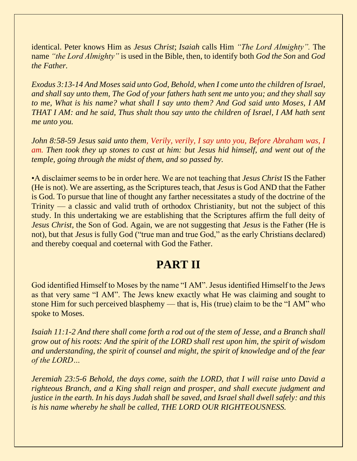identical. Peter knows Him as *Jesus Christ*; *Isaiah* calls Him *"The Lord Almighty".* The name *"the Lord Almighty"* is used in the Bible, then, to identify both *God the Son* and *God the Father.*

*Exodus 3:13-14 And Moses said unto God, Behold, when I come unto the children of Israel, and shall say unto them, The God of your fathers hath sent me unto you; and they shall say to me, What is his name? what shall I say unto them? And God said unto Moses, I AM THAT I AM: and he said, Thus shalt thou say unto the children of Israel, I AM hath sent me unto you.* 

*John 8:58-59 Jesus said unto them, Verily, verily, I say unto you, Before Abraham was, I am. Then took they up stones to cast at him: but Jesus hid himself, and went out of the temple, going through the midst of them, and so passed by.* 

•A disclaimer seems to be in order here. We are not teaching that *Jesus Christ* IS the Father (He is not). We are asserting, as the Scriptures teach, that *Jesus* is God AND that the Father is God. To pursue that line of thought any farther necessitates a study of the doctrine of the Trinity — a classic and valid truth of orthodox Christianity, but not the subject of this study. In this undertaking we are establishing that the Scriptures affirm the full deity of *Jesus Christ*, the Son of God. Again, we are not suggesting that *Jesus* is the Father (He is not), but that *Jesus* is fully God ("true man and true God," as the early Christians declared) and thereby coequal and coeternal with God the Father.

## **PART II**

God identified Himself to Moses by the name "I AM". Jesus identified Himself to the Jews as that very same "I AM". The Jews knew exactly what He was claiming and sought to stone Him for such perceived blasphemy — that is, His (true) claim to be the "I AM" who spoke to Moses.

*Isaiah 11:1-2 And there shall come forth a rod out of the stem of Jesse, and a Branch shall grow out of his roots: And the spirit of the LORD shall rest upon him, the spirit of wisdom and understanding, the spirit of counsel and might, the spirit of knowledge and of the fear of the LORD…* 

*Jeremiah 23:5-6 Behold, the days come, saith the LORD, that I will raise unto David a righteous Branch, and a King shall reign and prosper, and shall execute judgment and justice in the earth. In his days Judah shall be saved, and Israel shall dwell safely: and this is his name whereby he shall be called, THE LORD OUR RIGHTEOUSNESS.*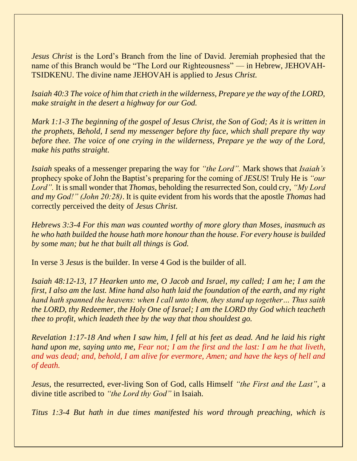*Jesus Christ* is the Lord's Branch from the line of David. Jeremiah prophesied that the name of this Branch would be "The Lord our Righteousness" — in Hebrew, JEHOVAH-TSIDKENU. The divine name JEHOVAH is applied to *Jesus Christ.*

*Isaiah 40:3 The voice of him that crieth in the wilderness, Prepare ye the way of the LORD, make straight in the desert a highway for our God.* 

*Mark 1:1-3 The beginning of the gospel of Jesus Christ, the Son of God; As it is written in the prophets, Behold, I send my messenger before thy face, which shall prepare thy way before thee. The voice of one crying in the wilderness, Prepare ye the way of the Lord, make his paths straight.*

*Isaiah* speaks of a messenger preparing the way for *"the Lord".* Mark shows that *Isaiah's* prophecy spoke of John the Baptist's preparing for the coming of *JESUS*! Truly He is *"our Lord".* It is small wonder that *Thomas*, beholding the resurrected Son, could cry, *"My Lord and my God!" (John 20:28)*. It is quite evident from his words that the apostle *Thomas* had correctly perceived the deity of *Jesus Christ.*

*Hebrews 3:3-4 For this man was counted worthy of more glory than Moses, inasmuch as he who hath builded the house hath more honour than the house. For every house is builded by some man; but he that built all things is God.*

In verse 3 *Jesus* is the builder. In verse 4 God is the builder of all.

*Isaiah 48:12-13, 17 Hearken unto me, O Jacob and Israel, my called; I am he; I am the first, I also am the last. Mine hand also hath laid the foundation of the earth, and my right hand hath spanned the heavens: when I call unto them, they stand up together… Thus saith the LORD, thy Redeemer, the Holy One of Israel; I am the LORD thy God which teacheth thee to profit, which leadeth thee by the way that thou shouldest go.* 

*Revelation 1:17-18 And when I saw him, I fell at his feet as dead. And he laid his right hand upon me, saying unto me, Fear not; I am the first and the last: I am he that liveth, and was dead; and, behold, I am alive for evermore, Amen; and have the keys of hell and of death.* 

*Jesus*, the resurrected, ever-living Son of God, calls Himself *"the First and the Last"*, a divine title ascribed to *"the Lord thy God"* in Isaiah.

*Titus 1:3-4 But hath in due times manifested his word through preaching, which is*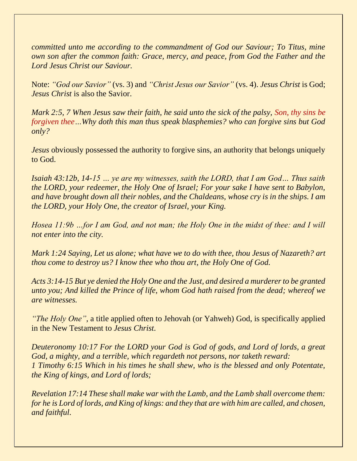*committed unto me according to the commandment of God our Saviour; To Titus, mine own son after the common faith: Grace, mercy, and peace, from God the Father and the Lord Jesus Christ our Saviour.*

Note: *"God our Savior"* (vs. 3) and *"Christ Jesus our Savior"* (vs. 4). *Jesus Christ* is God; *Jesus Christ* is also the Savior.

*Mark 2:5, 7 When Jesus saw their faith, he said unto the sick of the palsy, Son, thy sins be forgiven thee…Why doth this man thus speak blasphemies? who can forgive sins but God only?* 

*Jesus* obviously possessed the authority to forgive sins, an authority that belongs uniquely to God.

*Isaiah 43:12b, 14-15 … ye are my witnesses, saith the LORD, that I am God… Thus saith the LORD, your redeemer, the Holy One of Israel; For your sake I have sent to Babylon, and have brought down all their nobles, and the Chaldeans, whose cry is in the ships. I am the LORD, your Holy One, the creator of Israel, your King.* 

*Hosea 11:9b …for I am God, and not man; the Holy One in the midst of thee: and I will not enter into the city.* 

*Mark 1:24 Saying, Let us alone; what have we to do with thee, thou Jesus of Nazareth? art thou come to destroy us? I know thee who thou art, the Holy One of God.* 

*Acts 3:14-15 But ye denied the Holy One and the Just, and desired a murderer to be granted unto you; And killed the Prince of life, whom God hath raised from the dead; whereof we are witnesses.* 

*"The Holy One"*, a title applied often to Jehovah (or Yahweh) God, is specifically applied in the New Testament to *Jesus Christ.*

*Deuteronomy 10:17 For the LORD your God is God of gods, and Lord of lords, a great God, a mighty, and a terrible, which regardeth not persons, nor taketh reward: 1 Timothy 6:15 Which in his times he shall shew, who is the blessed and only Potentate, the King of kings, and Lord of lords;*

*Revelation 17:14 These shall make war with the Lamb, and the Lamb shall overcome them: for he is Lord of lords, and King of kings: and they that are with him are called, and chosen, and faithful.*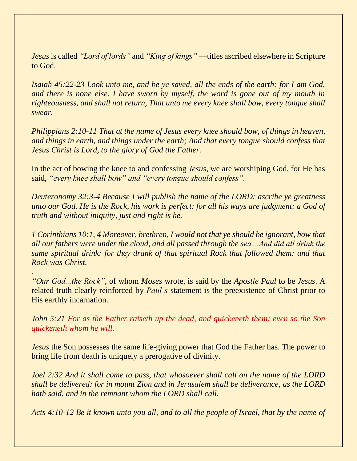*Jesus* is called *"Lord of lords"* and *"King of kings"* —titles ascribed elsewhere in Scripture to God.

*Isaiah 45:22-23 Look unto me, and be ye saved, all the ends of the earth: for I am God, and there is none else. I have sworn by myself, the word is gone out of my mouth in righteousness, and shall not return, That unto me every knee shall bow, every tongue shall swear.* 

*Philippians 2:10-11 That at the name of Jesus every knee should bow, of things in heaven, and things in earth, and things under the earth; And that every tongue should confess that Jesus Christ is Lord, to the glory of God the Father.* 

In the act of bowing the knee to and confessing *Jesus*, we are worshiping God, for He has said, *"every knee shall bow" and "every tongue should confess".*

*Deuteronomy 32:3-4 Because I will publish the name of the LORD: ascribe ye greatness unto our God. He is the Rock, his work is perfect: for all his ways are judgment: a God of truth and without iniquity, just and right is he.*

*1 Corinthians 10:1, 4 Moreover, brethren, I would not that ye should be ignorant, how that all our fathers were under the cloud, and all passed through the sea…And did all drink the same spiritual drink: for they drank of that spiritual Rock that followed them: and that Rock was Christ.*

*"Our God...the Rock"*, of whom *Moses* wrote, is said by the *Apostle Paul* to be *Jesus*. A related truth clearly reinforced by *Paul's* statement is the preexistence of Christ prior to His earthly incarnation.

*.*

*John 5:21 For as the Father raiseth up the dead, and quickeneth them; even so the Son quickeneth whom he will.* 

*Jesus* the Son possesses the same life-giving power that God the Father has. The power to bring life from death is uniquely a prerogative of divinity.

*Joel 2:32 And it shall come to pass, that whosoever shall call on the name of the LORD shall be delivered: for in mount Zion and in Jerusalem shall be deliverance, as the LORD hath said, and in the remnant whom the LORD shall call.* 

*Acts 4:10-12 Be it known unto you all, and to all the people of Israel, that by the name of*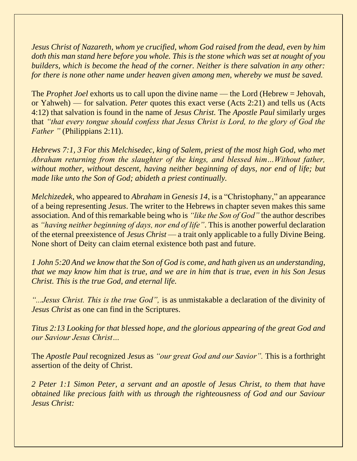*Jesus Christ of Nazareth, whom ye crucified, whom God raised from the dead, even by him doth this man stand here before you whole. This is the stone which was set at nought of you builders, which is become the head of the corner. Neither is there salvation in any other: for there is none other name under heaven given among men, whereby we must be saved.* 

The *Prophet Joel* exhorts us to call upon the divine name — the Lord (Hebrew = Jehovah, or Yahweh) — for salvation. *Peter* quotes this exact verse (Acts 2:21) and tells us (Acts 4:12) that salvation is found in the name of *Jesus Christ.* The *Apostle Paul* similarly urges that *"that every tongue should confess that Jesus Christ is Lord, to the glory of God the Father* " (Philippians 2:11).

*Hebrews 7:1, 3 For this Melchisedec, king of Salem, priest of the most high God, who met Abraham returning from the slaughter of the kings, and blessed him…Without father, without mother, without descent, having neither beginning of days, nor end of life; but made like unto the Son of God; abideth a priest continually.*

*Melchizedek*, who appeared to *Abraham* in *Genesis 14*, is a "Christophany," an appearance of a being representing *Jesus*. The writer to the Hebrews in chapter seven makes this same association. And of this remarkable being who is *"like the Son of God"* the author describes as *"having neither beginning of days, nor end of life"*. This is another powerful declaration of the eternal preexistence of *Jesus Christ* — a trait only applicable to a fully Divine Being. None short of Deity can claim eternal existence both past and future.

*1 John 5:20 And we know that the Son of God is come, and hath given us an understanding, that we may know him that is true, and we are in him that is true, even in his Son Jesus Christ. This is the true God, and eternal life.*

*"...Jesus Christ. This is the true God",* is as unmistakable a declaration of the divinity of *Jesus Christ* as one can find in the Scriptures.

*Titus 2:13 Looking for that blessed hope, and the glorious appearing of the great God and our Saviour Jesus Christ…*

The *Apostle Paul* recognized *Jesus* as *"our great God and our Savior".* This is a forthright assertion of the deity of Christ.

*2 Peter 1:1 Simon Peter, a servant and an apostle of Jesus Christ, to them that have obtained like precious faith with us through the righteousness of God and our Saviour Jesus Christ:*